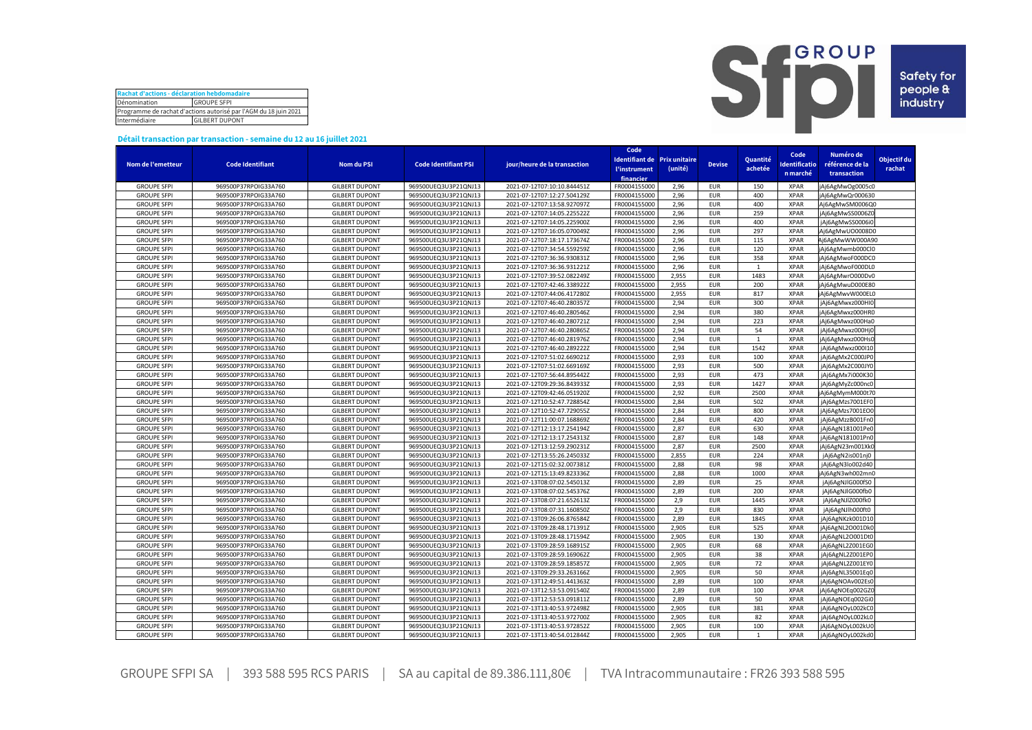| Rachat d'actions - déclaration hebdomadaire                      |  |  |  |  |  |  |  |
|------------------------------------------------------------------|--|--|--|--|--|--|--|
| Dénomination<br><b>GROUPE SFPI</b>                               |  |  |  |  |  |  |  |
| Programme de rachat d'actions autorisé par l'AGM du 18 juin 2021 |  |  |  |  |  |  |  |
| Intermédiaire<br><b>GILBERT DUPONT</b>                           |  |  |  |  |  |  |  |



## **Détail transaction par transaction - semaine du 12 au 16 juillet 2021**

|                                          |                         |                       |                             |                              | Code                |                              |               |                | Code         | Numéro de        |             |
|------------------------------------------|-------------------------|-----------------------|-----------------------------|------------------------------|---------------------|------------------------------|---------------|----------------|--------------|------------------|-------------|
|                                          |                         |                       |                             |                              |                     | Identifiant de Prix unitaire |               | Quantité       |              |                  | Objectif du |
| Nom de l'emetteur                        | <b>Code Identifiant</b> | <b>Nom du PSI</b>     | <b>Code Identifiant PSI</b> | jour/heure de la transaction | <b>l'instrument</b> | (unité)                      | <b>Devise</b> | achetée        | dentificatio | référence de la  | rachat      |
|                                          |                         |                       |                             |                              | financier           |                              |               |                | n marché     | transaction      |             |
| <b>GROUPE SFPI</b>                       | 969500P37RPOIG33A760    | <b>GILBERT DUPONT</b> | 969500UEQ3U3P21QNJ13        | 2021-07-12T07:10:10.844451Z  | FR0004155000        | 2,96                         | <b>EUR</b>    | 150            | <b>XPAR</b>  | jAj6AgMwOg0005c0 |             |
| <b>GROUPE SFPI</b>                       | 969500P37RPOIG33A760    | <b>GILBERT DUPONT</b> | 969500UEQ3U3P21QNJ13        | 2021-07-12T07:12:27.504129Z  | FR0004155000        | 2,96                         | <b>EUR</b>    | 400            | <b>XPAR</b>  | jAj6AgMwQr000630 |             |
| <b>GROUPE SFPI</b>                       | 969500P37RPOIG33A760    | <b>GILBERT DUPONT</b> | 969500UEQ3U3P21QNJ13        | 2021-07-12T07:13:58.927097Z  | FR0004155000        | 2.96                         | <b>EUR</b>    | 400            | <b>XPAR</b>  | Aj6AgMwSM0006Q0  |             |
| <b>GROUPE SFPI</b>                       | 969500P37RPOIG33A760    | <b>GILBERT DUPONT</b> | 969500UEQ3U3P21QNJ13        | 2021-07-12T07:14:05.225522Z  | FR0004155000        | 2,96                         | <b>EUR</b>    | 259            | <b>XPAR</b>  | jAj6AgMwSS0006ZC |             |
| <b>GROUPE SFPI</b>                       | 969500P37RPOIG33A760    | <b>GILBERT DUPONT</b> | 969500UEQ3U3P21QNJ13        | 2021-07-12T07:14:05.225900Z  | FR0004155000        | 2,96                         | <b>EUR</b>    | 400            | <b>XPAR</b>  | jAj6AgMwSS0006i0 |             |
| <b>GROUPE SFPI</b>                       | 969500P37RPOIG33A760    | <b>GILBERT DUPONT</b> | 969500UEQ3U3P21QNJ13        | 2021-07-12T07:16:05.070049Z  | FR0004155000        | 2,96                         | <b>EUR</b>    | 297            | <b>XPAR</b>  | Aj6AgMwUO0008D0  |             |
| <b>GROUPE SFPI</b>                       | 969500P37RPOIG33A760    | <b>GILBERT DUPONT</b> | 969500UEQ3U3P21QNJ13        | 2021-07-12T07:18:17.173674Z  | FR0004155000        | 2,96                         | <b>EUR</b>    | 115            | <b>XPAR</b>  | Aj6AgMwWW000A90  |             |
| <b>GROUPE SFPI</b>                       | 969500P37RPOIG33A760    | <b>GILBERT DUPONT</b> | 969500UEQ3U3P21QNJ13        | 2021-07-12T07:34:54.559259Z  | FR0004155000        | 2,96                         | <b>EUR</b>    | 120            | <b>XPAR</b>  | jAj6AgMwmb000Cl0 |             |
| <b>GROUPE SFPI</b>                       | 969500P37RPOIG33A760    | <b>GILBERT DUPONT</b> | 969500UEQ3U3P21QNJ13        | 2021-07-12T07:36:36.930831Z  | FR0004155000        | 2,96                         | <b>EUR</b>    | 358            | <b>XPAR</b>  | jAj6AgMwoF000DC0 |             |
| <b>GROUPE SFPI</b>                       | 969500P37RPOIG33A760    | <b>GILBERT DUPONT</b> | 969500UEQ3U3P21QNJ13        | 2021-07-12T07:36:36.931221Z  | FR0004155000        | 2,96                         | <b>EUR</b>    | $\mathbf{1}$   | <b>XPAR</b>  | jAj6AgMwoF000DL0 |             |
| <b>GROUPE SFPI</b>                       | 969500P37RPOIG33A760    | <b>GILBERT DUPONT</b> | 969500UEQ3U3P21QNJ13        | 2021-07-12T07:39:52.082249Z  | FR0004155000        | 2,955                        | <b>EUR</b>    | 1483           | <b>XPAR</b>  | jAj6AgMwrO000Dv0 |             |
| <b>GROUPE SFPI</b>                       | 969500P37RPOIG33A760    | <b>GILBERT DUPONT</b> | 969500UEQ3U3P21QNJ13        | 2021-07-12T07:42:46.338922Z  | FR0004155000        | 2,955                        | <b>EUR</b>    | 200            | <b>XPAR</b>  | jAj6AgMwuD000E80 |             |
| <b>GROUPE SFPI</b>                       | 969500P37RPOIG33A760    | <b>GILBERT DUPONT</b> | 969500UEQ3U3P21QNJ13        | 2021-07-12T07:44:06.417280Z  | FR0004155000        | 2,955                        | <b>EUR</b>    | 817            | <b>XPAR</b>  | jAj6AgMwvW000EL0 |             |
|                                          | 969500P37RPOIG33A760    | <b>GILBERT DUPONT</b> | 969500UEQ3U3P21QNJ13        |                              | FR0004155000        | 2,94                         | <b>EUR</b>    | 300            | <b>XPAR</b>  |                  |             |
| <b>GROUPE SFPI</b><br><b>GROUPE SFPI</b> |                         |                       |                             | 2021-07-12T07:46:40.280357Z  |                     | 2,94                         |               | 380            |              | jAj6AgMwxz000HI0 |             |
|                                          | 969500P37RPOIG33A760    | <b>GILBERT DUPONT</b> | 969500UEQ3U3P21QNJ13        | 2021-07-12T07:46:40.280546Z  | FR0004155000        |                              | <b>EUR</b>    |                | <b>XPAR</b>  | jAj6AgMwxz000HR0 |             |
| <b>GROUPE SFPI</b>                       | 969500P37RPOIG33A760    | <b>GILBERT DUPONT</b> | 969500UEQ3U3P21QNJ13        | 2021-07-12T07:46:40.280721Z  | FR0004155000        | 2,94                         | <b>EUR</b>    | 223            | <b>XPAR</b>  | jAj6AgMwxz000Ha0 |             |
| <b>GROUPE SFPI</b>                       | 969500P37RPOIG33A760    | <b>GILBERT DUPONT</b> | 969500UEQ3U3P21QNJ13        | 2021-07-12T07:46:40.280865Z  | FR0004155000        | 2,94                         | <b>EUR</b>    | 54             | <b>XPAR</b>  | jAj6AgMwxz000Hj0 |             |
| <b>GROUPE SFPI</b>                       | 969500P37RPOIG33A760    | <b>GILBERT DUPONT</b> | 969500UEQ3U3P21QNJ13        | 2021-07-12T07:46:40.281976Z  | FR0004155000        | 2,94                         | <b>EUR</b>    | 1              | <b>XPAR</b>  | jAj6AgMwxz000Hs( |             |
| <b>GROUPE SFPI</b>                       | 969500P37RPOIG33A760    | <b>GILBERT DUPONT</b> | 969500UEQ3U3P21QNJ13        | 2021-07-12T07:46:40.289222Z  | FR0004155000        | 2,94                         | <b>EUR</b>    | 1542           | <b>XPAR</b>  | jAj6AgMwxz000I10 |             |
| <b>GROUPE SFPI</b>                       | 969500P37RPOIG33A760    | <b>GILBERT DUPONT</b> | 969500UEQ3U3P21QNJ13        | 2021-07-12T07:51:02.669021Z  | FR0004155000        | 2.93                         | <b>EUR</b>    | 100            | <b>XPAR</b>  | jAj6AgMx2C000JP0 |             |
| <b>GROUPE SFPI</b>                       | 969500P37RPOIG33A760    | <b>GILBERT DUPONT</b> | 969500UEQ3U3P21QNJ13        | 2021-07-12T07:51:02.669169Z  | FR0004155000        | 2,93                         | <b>EUR</b>    | 500            | <b>XPAR</b>  | jAj6AgMx2C000JY0 |             |
| <b>GROUPE SFPI</b>                       | 969500P37RPOIG33A760    | <b>GILBERT DUPONT</b> | 969500UEQ3U3P21QNJ13        | 2021-07-12T07:56:44.895442Z  | FR0004155000        | 2,93                         | <b>EUR</b>    | 473            | <b>XPAR</b>  | jAj6AgMx7i000K30 |             |
| <b>GROUPE SFPI</b>                       | 969500P37RPOIG33A760    | <b>GILBERT DUPONT</b> | 969500UEQ3U3P21QNJ13        | 2021-07-12T09:29:36.843933Z  | FR0004155000        | 2,93                         | <b>EUR</b>    | 1427           | <b>XPAR</b>  | jAj6AgMyZc000nc0 |             |
| <b>GROUPE SFPI</b>                       | 969500P37RPOIG33A760    | <b>GILBERT DUPONT</b> | 969500UEQ3U3P21QNJ13        | 2021-07-12T09:42:46.051920Z  | FR0004155000        | 2,92                         | <b>EUR</b>    | 2500           | <b>XPAR</b>  | jAj6AgMymM000t70 |             |
| <b>GROUPE SFPI</b>                       | 969500P37RPOIG33A760    | <b>GILBERT DUPONT</b> | 969500UEQ3U3P21QNJ13        | 2021-07-12T10:52:47.728854Z  | FR0004155000        | 2,84                         | <b>EUR</b>    | 502            | <b>XPAR</b>  | jAj6AgMzs7001EF0 |             |
| <b>GROUPE SFPI</b>                       | 969500P37RPOIG33A760    | <b>GILBERT DUPONT</b> | 969500UEQ3U3P21QNJ13        | 2021-07-12T10:52:47.729055Z  | FR0004155000        | 2,84                         | <b>EUR</b>    | 800            | <b>XPAR</b>  | jAj6AgMzs7001EO0 |             |
| <b>GROUPE SFPI</b>                       | 969500P37RPOIG33A760    | <b>GILBERT DUPONT</b> | 969500UEQ3U3P21QNJ13        | 2021-07-12T11:00:07.168869Z  | FR0004155000        | 2,84                         | <b>EUR</b>    | 420            | <b>XPAR</b>  | jAj6AgMzzB001Fn0 |             |
| <b>GROUPE SFPI</b>                       | 969500P37RPOIG33A760    | <b>GILBERT DUPONT</b> | 969500UEQ3U3P21QNJ13        | 2021-07-12T12:13:17.254194Z  | FR0004155000        | 2,87                         | <b>EUR</b>    | 630            | <b>XPAR</b>  | jAj6AgN181001Pe0 |             |
| <b>GROUPE SFPI</b>                       | 969500P37RPOIG33A760    | <b>GILBERT DUPONT</b> | 969500UEQ3U3P21QNJ13        | 2021-07-12T12:13:17.254313Z  | FR0004155000        | 2,87                         | <b>EUR</b>    | 148            | <b>XPAR</b>  | jAj6AgN181001Pn0 |             |
| <b>GROUPE SFPI</b>                       | 969500P37RPOIG33A760    | <b>GILBERT DUPONT</b> | 969500UEQ3U3P21QNJ13        | 2021-07-12T13:12:59.290231Z  | FR0004155000        | 2,87                         | <b>EUR</b>    | 2500           | <b>XPAR</b>  | jAj6AgN23m001Xk0 |             |
| <b>GROUPE SFPI</b>                       | 969500P37RPOIG33A760    | <b>GILBERT DUPONT</b> | 969500UEQ3U3P21QNJ13        | 2021-07-12T13:55:26.245033Z  | FR0004155000        | 2,855                        | <b>EUR</b>    | 224            | <b>XPAR</b>  | jAj6AgN2is001nj0 |             |
| <b>GROUPE SFPI</b>                       | 969500P37RPOIG33A760    | <b>GILBERT DUPONT</b> | 969500UEQ3U3P21QNJ13        | 2021-07-12T15:02:32.007381Z  | FR0004155000        | 2,88                         | <b>EUR</b>    | 98             | <b>XPAR</b>  | jAj6AgN3lo002d40 |             |
| <b>GROUPE SFPI</b>                       | 969500P37RPOIG33A760    | <b>GILBERT DUPONT</b> | 969500UEQ3U3P21QNJ13        | 2021-07-12T15:13:49.823336Z  | FR0004155000        | 2,88                         | <b>EUR</b>    | 1000           | <b>XPAR</b>  | jAj6AgN3wh002mn0 |             |
| <b>GROUPE SFPI</b>                       | 969500P37RPOIG33A760    | <b>GILBERT DUPONT</b> | 969500UEQ3U3P21QNJ13        | 2021-07-13T08:07:02.545013Z  | FR0004155000        | 2,89                         | <b>EUR</b>    | 25             | <b>XPAR</b>  | jAj6AgNJlG000fS0 |             |
| <b>GROUPE SFPI</b>                       | 969500P37RPOIG33A760    | <b>GILBERT DUPONT</b> | 969500UEQ3U3P21QNJ13        | 2021-07-13T08:07:02.545376Z  | FR0004155000        | 2,89                         | <b>EUR</b>    | 200            | <b>XPAR</b>  | jAj6AgNJlG000fb0 |             |
| <b>GROUPE SFPI</b>                       | 969500P37RPOIG33A760    | <b>GILBERT DUPONT</b> | 969500UEQ3U3P21QNJ13        | 2021-07-13T08:07:21.652613Z  | FR0004155000        | 2,9                          | <b>EUR</b>    | 1445           | <b>XPAR</b>  | jAj6AgNJlZ000fk0 |             |
| <b>GROUPE SFPI</b>                       | 969500P37RPOIG33A760    | <b>GILBERT DUPONT</b> | 969500UEQ3U3P21QNJ13        | 2021-07-13T08:07:31.160850Z  | FR0004155000        | 2,9                          | <b>EUR</b>    | 830            | <b>XPAR</b>  | jAj6AgNJlh000ft0 |             |
| <b>GROUPE SFPI</b>                       | 969500P37RPOIG33A760    | <b>GILBERT DUPONT</b> | 969500UEQ3U3P21QNJ13        | 2021-07-13T09:26:06.876584Z  | FR0004155000        | 2,89                         | <b>EUR</b>    | 1845           | <b>XPAR</b>  | jAj6AgNKzk001D10 |             |
| <b>GROUPE SFPI</b>                       | 969500P37RPOIG33A760    | <b>GILBERT DUPONT</b> | 969500UEQ3U3P21QNJ13        | 2021-07-13T09:28:48.171391Z  | FR0004155000        | 2,905                        | <b>EUR</b>    | 525            | <b>XPAR</b>  | jAj6AgNL2O001Dk0 |             |
| <b>GROUPE SFPI</b>                       | 969500P37RPOIG33A760    | <b>GILBERT DUPONT</b> | 969500UEQ3U3P21QNJ13        | 2021-07-13T09:28:48.171594Z  | FR0004155000        | 2,905                        | <b>EUR</b>    | 130            | <b>XPAR</b>  | jAj6AgNL2O001DtC |             |
| <b>GROUPE SFPI</b>                       | 969500P37RPOIG33A760    | <b>GILBERT DUPONT</b> | 969500UEQ3U3P21QNJ13        | 2021-07-13T09:28:59.168915Z  | FR0004155000        | 2,905                        | <b>EUR</b>    | 68             | <b>XPAR</b>  | jAj6AgNL2Z001EG0 |             |
| <b>GROUPE SFPI</b>                       | 969500P37RPOIG33A760    | <b>GILBERT DUPONT</b> | 969500UEQ3U3P21QNJ13        | 2021-07-13T09:28:59.169062Z  | FR0004155000        | 2,905                        | <b>EUR</b>    | 38             | <b>XPAR</b>  | jAj6AgNL2Z001EP0 |             |
| <b>GROUPE SFPI</b>                       | 969500P37RPOIG33A760    | <b>GILBERT DUPONT</b> | 969500UEQ3U3P21QNJ13        | 2021-07-13T09:28:59.185857Z  | FR0004155000        | 2,905                        | <b>EUR</b>    | 72             | <b>XPAR</b>  | jAj6AgNL2Z001EYC |             |
| <b>GROUPE SFPI</b>                       | 969500P37RPOIG33A760    | <b>GILBERT DUPONT</b> | 969500UEQ3U3P21QNJ13        | 2021-07-13T09:29:33.263166Z  | FR0004155000        | 2,905                        | <b>EUR</b>    | 50             | <b>XPAR</b>  | jAj6AgNL35001Eq0 |             |
| <b>GROUPE SFPI</b>                       | 969500P37RPOIG33A760    | <b>GILBERT DUPONT</b> | 969500UEQ3U3P21QNJ13        | 2021-07-13T12:49:51.441363Z  | FR0004155000        | 2,89                         | <b>EUR</b>    | 100            | <b>XPAR</b>  | jAj6AgNOAv002Es0 |             |
| <b>GROUPE SFPI</b>                       | 969500P37RPOIG33A760    | <b>GILBERT DUPONT</b> | 969500UEQ3U3P21QNJ13        | 2021-07-13T12:53:53.091540Z  | FR0004155000        | 2.89                         | <b>EUR</b>    | 100            | <b>XPAR</b>  | jAj6AgNOEq002GZ0 |             |
| <b>GROUPE SFPI</b>                       | 969500P37RPOIG33A760    | <b>GILBERT DUPONT</b> | 969500UEQ3U3P21QNJ13        | 2021-07-13T12:53:53.091811Z  | FR0004155000        | 2,89                         | <b>EUR</b>    | 50             | <b>XPAR</b>  | jAj6AgNOEq002Gi0 |             |
| <b>GROUPE SFPI</b>                       |                         |                       |                             |                              | FR0004155000        | 2,905                        |               | 381            | <b>XPAR</b>  |                  |             |
|                                          | 969500P37RPOIG33A760    | <b>GILBERT DUPONT</b> | 969500UEQ3U3P21QNJ13        | 2021-07-13T13:40:53.972498Z  |                     | 2,905                        | <b>EUR</b>    | 82             | <b>XPAR</b>  | jAj6AgNOyL002kC0 |             |
| <b>GROUPE SFPI</b>                       | 969500P37RPOIG33A760    | <b>GILBERT DUPONT</b> | 969500UEQ3U3P21QNJ13        | 2021-07-13T13:40:53.972700Z  | FR0004155000        |                              | <b>EUR</b>    |                |              | jAj6AgNOyL002kL0 |             |
| <b>GROUPE SFPI</b>                       | 969500P37RPOIG33A760    | <b>GILBERT DUPONT</b> | 969500UEQ3U3P21QNJ13        | 2021-07-13T13:40:53.972852Z  | FR0004155000        | 2.905                        | <b>EUR</b>    | 100            | <b>XPAR</b>  | jAj6AgNOyL002kU0 |             |
| <b>GROUPE SFPI</b>                       | 969500P37RPOIG33A760    | <b>GILBERT DUPONT</b> | 969500UEQ3U3P21QNJ13        | 2021-07-13T13:40:54.012844Z  | FR0004155000        | 2.905                        | <b>EUR</b>    | $\overline{1}$ | <b>XPAR</b>  | jAj6AgNOyL002kd0 |             |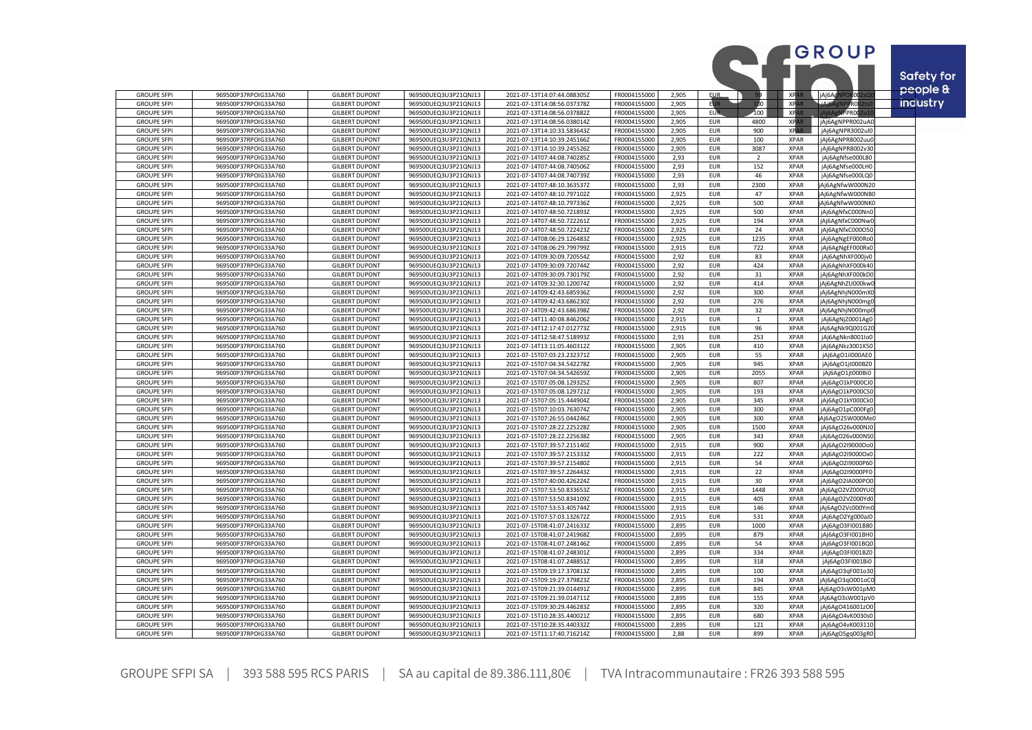|                                          |                                              |                                                |                                              |                                                            |                              |                |                          |                          |                            | GROUP                               |                   |
|------------------------------------------|----------------------------------------------|------------------------------------------------|----------------------------------------------|------------------------------------------------------------|------------------------------|----------------|--------------------------|--------------------------|----------------------------|-------------------------------------|-------------------|
|                                          |                                              |                                                |                                              |                                                            |                              |                |                          |                          |                            |                                     |                   |
|                                          |                                              |                                                |                                              |                                                            |                              |                |                          |                          |                            |                                     | <b>Safety for</b> |
| <b>GROUPE SFPI</b>                       | 969500P37RPOIG33A760                         | <b>GILBERT DUPONT</b>                          | 969500UEQ3U3P21QNJ13                         | 2021-07-13T14:07:44.088305Z                                | FR0004155000                 | 2.905          | EUR.                     |                          | XP.                        | jAj6Ag<br>koo                       | people &          |
| <b>GROUPE SFPI</b>                       | 969500P37RPOIG33A760                         | <b>GILBERT DUPONT</b>                          | 969500UEQ3U3P21QNJ13                         | 2021-07-13T14:08:56.037378Z                                | FR0004155000                 | 2,905          |                          | DO                       | XP <sub>A</sub>            | أهنمن<br>PROO                       | industry          |
| <b>GROUPE SFPI</b>                       | 969500P37RPOIG33A760                         | <b>GILBERT DUPONT</b>                          | 969500UEQ3U3P21QNJ13                         | 2021-07-13T14:08:56.037882Z                                | FR0004155000                 | 2,905          | <b>EUR</b>               | 100                      | <b>XPAR</b>                | <b>NPPROO</b><br>Ai6A               |                   |
| <b>GROUPE SFPI</b>                       | 969500P37RPOIG33A760                         | <b>GILBERT DUPONT</b>                          | 969500UEQ3U3P21QNJ13                         | 2021-07-13T14:08:56.038014Z                                | FR0004155000                 | 2,905          | <b>EUR</b>               | 4800                     | <b>XPAR</b>                | jAj6AgNPPR002uA0                    |                   |
| <b>GROUPE SFPI</b>                       | 969500P37RPOIG33A760                         | <b>GILBERT DUPONT</b>                          | 969500UEQ3U3P21QNJ13                         | 2021-07-13T14:10:33.583643Z                                | FR0004155000                 | 2,905          | <b>EUR</b>               | 900                      | <b>XPAR</b>                | jAj6AgNPR3002ul0                    |                   |
| <b>GROUPE SFPI</b><br><b>GROUPE SFPI</b> | 969500P37RPOIG33A760<br>969500P37RPOIG33A760 | <b>GILBERT DUPONT</b><br><b>GILBERT DUPONT</b> | 969500UEQ3U3P21QNJ13<br>969500UEQ3U3P21QNJ13 | 2021-07-13T14:10:39.245166Z<br>2021-07-13T14:10:39.245526Z | FR0004155000<br>FR0004155000 | 2,905<br>2,905 | <b>EUR</b><br><b>EUR</b> | 100<br>3087              | <b>XPAR</b><br><b>XPAR</b> | jAj6AgNPR8002uu<br>jAj6AgNPR8002v30 |                   |
| <b>GROUPE SFPI</b>                       | 969500P37RPOIG33A760                         | <b>GILBERT DUPONT</b>                          | 969500UEQ3U3P21QNJ13                         | 2021-07-14T07:44:08.740285Z                                | FR0004155000                 | 2,93           | <b>EUR</b>               | $\overline{\phantom{0}}$ | <b>XPAR</b>                | jAj6AgNfse000L80                    |                   |
| <b>GROUPE SFPI</b>                       | 969500P37RPOIG33A760                         | <b>GILBERT DUPONT</b>                          | 969500UEQ3U3P21QNJ13                         | 2021-07-14T07:44:08.740506Z                                | FR0004155000                 | 2,93           | <b>EUR</b>               | 152                      | <b>XPAR</b>                | jAj6AgNfse000LH0                    |                   |
| <b>GROUPE SFPI</b>                       | 969500P37RPOIG33A760                         | <b>GILBERT DUPONT</b>                          | 969500UEQ3U3P21QNJ13                         | 2021-07-14T07:44:08.740739Z                                | FR0004155000                 | 2,93           | <b>EUR</b>               | 46                       | <b>XPAR</b>                | jAj6AgNfse000LQ0                    |                   |
| <b>GROUPE SFPI</b>                       | 969500P37RPOIG33A760                         | <b>GILBERT DUPONT</b>                          | 969500UEQ3U3P21QNJ13                         | 2021-07-14T07:48:10.363537Z                                | FR0004155000                 | 2,93           | <b>EUR</b>               | 2300                     | <b>XPAR</b>                | Aj6AgNfwW000N20                     |                   |
| <b>GROUPE SFPI</b>                       | 969500P37RPOIG33A760                         | <b>GILBERT DUPONT</b>                          | 969500UEQ3U3P21QNJ13                         | 2021-07-14T07:48:10.797102Z                                | FR0004155000                 | 2,925          | <b>EUR</b>               | 47                       | <b>XPAR</b>                | Aj6AgNfwW000NB0                     |                   |
| <b>GROUPE SFPI</b>                       | 969500P37RPOIG33A760                         | <b>GILBERT DUPONT</b>                          | 969500UEQ3U3P21QNJ13                         | 2021-07-14T07:48:10.797336Z                                | FR0004155000                 | 2,925          | <b>EUR</b>               | 500                      | <b>XPAR</b>                | Aj6AgNfwW000NK0                     |                   |
| <b>GROUPE SFPI</b>                       | 969500P37RPOIG33A760                         | <b>GILBERT DUPONT</b>                          | 969500UEQ3U3P21QNJ13                         | 2021-07-14T07:48:50.721893Z                                | FR0004155000                 | 2,925          | <b>EUR</b>               | 500                      | <b>XPAR</b>                | jAj6AgNfxC000Nn0                    |                   |
| <b>GROUPE SFPI</b>                       | 969500P37RPOIG33A760                         | <b>GILBERT DUPONT</b>                          | 969500UEQ3U3P21QNJ13                         | 2021-07-14T07:48:50.722261Z                                | FR0004155000                 | 2,925          | <b>EUR</b>               | 194                      | <b>XPAR</b>                | jAj6AgNfxC000Nw0                    |                   |
| <b>GROUPE SFPI</b><br><b>GROUPE SFPI</b> | 969500P37RPOIG33A760<br>969500P37RPOIG33A760 | <b>GILBERT DUPONT</b><br><b>GILBERT DUPONT</b> | 969500UEQ3U3P21QNJ13<br>969500UEQ3U3P21QNJ13 | 2021-07-14T07:48:50.722423Z<br>2021-07-14T08:06:29.126483Z | FR0004155000<br>FR0004155000 | 2,925<br>2,925 | <b>EUR</b><br><b>EUR</b> | 24<br>1235               | <b>XPAR</b><br><b>XPAR</b> | jAj6AgNfxC000O50<br>jAj6AgNgEF000Ro |                   |
| <b>GROUPE SFPI</b>                       | 969500P37RPOIG33A760                         | <b>GILBERT DUPONT</b>                          | 969500UEQ3U3P21QNJ13                         | 2021-07-14T08:06:29.799799Z                                | FR0004155000                 | 2,915          | <b>EUR</b>               | 722                      | <b>XPAR</b>                | jAj6AgNgEF000Rx0                    |                   |
| <b>GROUPE SFPI</b>                       | 969500P37RPOIG33A760                         | <b>GILBERT DUPONT</b>                          | 969500UEQ3U3P21QNJ13                         | 2021-07-14T09:30:09.720554Z                                | FR0004155000                 | 2,92           | <b>EUR</b>               | 83                       | <b>XPAR</b>                | jAj6AgNhXF000jvC                    |                   |
| <b>GROUPE SFPI</b>                       | 969500P37RPOIG33A760                         | <b>GILBERT DUPONT</b>                          | 969500UEQ3U3P21QNJ13                         | 2021-07-14T09:30:09.720744Z                                | FR0004155000                 | 2,92           | <b>EUR</b>               | 424                      | <b>XPAR</b>                | jAj6AgNhXF000k40                    |                   |
| <b>GROUPE SFPI</b>                       | 969500P37RPOIG33A760                         | <b>GILBERT DUPONT</b>                          | 969500UEQ3U3P21QNJ13                         | 2021-07-14T09:30:09.730179Z                                | FR0004155000                 | 2,92           | <b>EUR</b>               | 31                       | <b>XPAR</b>                | Aj6AgNhXF000kD                      |                   |
| <b>GROUPE SFPI</b>                       | 969500P37RPOIG33A760                         | <b>GILBERT DUPONT</b>                          | 969500UEQ3U3P21QNJ13                         | 2021-07-14T09:32:30.120074Z                                | FR0004155000                 | 2,92           | <b>EUR</b>               | 414                      | <b>XPAR</b>                | jAj6AgNhZU000kw                     |                   |
| <b>GROUPE SFPI</b>                       | 969500P37RPOIG33A760                         | <b>GILBERT DUPONT</b>                          | 969500UEQ3U3P21QNJ13                         | 2021-07-14T09:42:43.685936Z                                | FR0004155000                 | 2,92           | <b>EUR</b>               | 300                      | <b>XPAR</b>                | jAj6AgNhjN000mX                     |                   |
| <b>GROUPE SFPI</b>                       | 969500P37RPOIG33A760                         | <b>GILBERT DUPONT</b>                          | 969500UEQ3U3P21QNJ13                         | 2021-07-14T09:42:43.686230Z                                | FR0004155000                 | 2,92           | <b>EUR</b>               | 276                      | <b>XPAR</b>                | jAj6AgNhjN000mg                     |                   |
| <b>GROUPE SFPI</b>                       | 969500P37RPOIG33A760                         | <b>GILBERT DUPONT</b>                          | 969500UEQ3U3P21QNJ1                          | 2021-07-14T09:42:43.686398Z                                | FR0004155000                 | 2,92           | <b>EUR</b>               | 32                       | <b>XPAR</b>                | Aj6AgNhjN000mp                      |                   |
| <b>GROUPE SFPI</b>                       | 969500P37RPOIG33A760                         | <b>GILBERT DUPONT</b>                          | 969500UEQ3U3P21QNJ13                         | 2021-07-14T11:40:08.846206Z                                | FR0004155000                 | 2,915          | <b>EUR</b>               | $\mathbf{1}$             | <b>XPAR</b><br><b>XPAR</b> | jAj6AgNjZ0001Ag0                    |                   |
| <b>GROUPE SFPI</b><br><b>GROUPE SFPI</b> | 969500P37RPOIG33A760<br>969500P37RPOIG33A760 | <b>GILBERT DUPONT</b><br><b>GILBERT DUPONT</b> | 969500UEQ3U3P21QNJ13<br>969500UEQ3U3P21QNJ13 | 2021-07-14T12:17:47.012773Z<br>2021-07-14T12:58:47.518993Z | FR0004155000<br>FR0004155000 | 2,915<br>2,91  | <b>EUR</b><br><b>EUR</b> | 96<br>253                | <b>XPAR</b>                | jAj6AgNk9Q001G2<br>jAj6AgNkn8001Io0 |                   |
| <b>GROUPE SFPI</b>                       | 969500P37RPOIG33A760                         | <b>GILBERT DUPONT</b>                          | 969500UEQ3U3P21QNJ13                         | 2021-07-14T13:11:05.460312Z                                | FR0004155000                 | 2,905          | <b>EUR</b>               | 410                      | <b>XPAR</b>                | jAj6AgNkz3001K50                    |                   |
| <b>GROUPE SFPI</b>                       | 969500P37RPOIG33A760                         | <b>GILBERT DUPONT</b>                          | 969500UEQ3U3P21QNJ13                         | 2021-07-15T07:03:23.232371Z                                | FR0004155000                 | 2,905          | <b>EUR</b>               | 55                       | <b>XPAR</b>                | jAj6AgO1il000AE0                    |                   |
| <b>GROUPE SFPI</b>                       | 969500P37RPOIG33A760                         | <b>GILBERT DUPONT</b>                          | 969500UEQ3U3P21QNJ13                         | 2021-07-15T07:04:34.542278Z                                | FR0004155000                 | 2,905          | <b>EUR</b>               | 945                      | <b>XPAR</b>                | jAj6AgO1jt000BZ0                    |                   |
| <b>GROUPE SFPI</b>                       | 969500P37RPOIG33A760                         | <b>GILBERT DUPONT</b>                          | 969500UEQ3U3P21QNJ13                         | 2021-07-15T07:04:34.542659Z                                | FR0004155000                 | 2,905          | <b>EUR</b>               | 2055                     | <b>XPAR</b>                | jAj6AgO1jt000Bi0                    |                   |
| <b>GROUPE SFPI</b>                       | 969500P37RPOIG33A760                         | <b>GILBERT DUPONT</b>                          | 969500UEQ3U3P21QNJ13                         | 2021-07-15T07:05:08.129325Z                                | FR0004155000                 | 2,905          | <b>EUR</b>               | 807                      | <b>XPAR</b>                | jAj6AgO1kP000CJ0                    |                   |
| <b>GROUPE SFPI</b>                       | 969500P37RPOIG33A760                         | <b>GILBERT DUPONT</b>                          | 969500UEQ3U3P21QNJ13                         | 2021-07-15T07:05:08.129721Z                                | FR0004155000                 | 2,905          | <b>EUR</b>               | 193                      | <b>XPAR</b>                | jAj6AgO1kP000CS                     |                   |
| <b>GROUPE SFPI</b>                       | 969500P37RPOIG33A760                         | <b>GILBERT DUPONT</b>                          | 969500UEQ3U3P21QNJ13                         | 2021-07-15T07:05:15.444904Z                                | FR0004155000                 | 2,905          | <b>EUR</b>               | 345                      | <b>XPAR</b>                | jAj6AgO1kY000CkC                    |                   |
| <b>GROUPE SFPI</b><br><b>GROUPE SFPI</b> | 969500P37RPOIG33A760<br>969500P37RPOIG33A760 | <b>GILBERT DUPONT</b><br><b>GILBERT DUPONT</b> | 969500UEQ3U3P21QNJ13<br>969500UEQ3U3P21QNJ13 | 2021-07-15T07:10:03.763074Z<br>2021-07-15T07:26:55.044246Z | FR0004155000<br>FR0004155000 | 2,905<br>2,905 | <b>EUR</b><br><b>EUR</b> | 300<br>300               | <b>XPAR</b><br><b>XPAR</b> | jAj6AgO1pC000FgC<br>Aj6AgO25W000Me0 |                   |
| <b>GROUPE SFPI</b>                       | 969500P37RPOIG33A760                         | <b>GILBERT DUPONT</b>                          | 969500UEQ3U3P21QNJ13                         | 2021-07-15T07:28:22.225228Z                                | FR0004155000                 | 2,905          | <b>EUR</b>               | 1500                     | <b>XPAR</b>                | jAj6AgO26v000NJ0                    |                   |
| <b>GROUPE SFPI</b>                       | 969500P37RPOIG33A760                         | <b>GILBERT DUPONT</b>                          | 969500UEQ3U3P21QNJ13                         | 2021-07-15T07:28:22.225638Z                                | FR0004155000                 | 2,905          | <b>EUR</b>               | 343                      | <b>XPAR</b>                | jAj6AgO26v000NSI                    |                   |
| <b>GROUPE SFPI</b>                       | 969500P37RPOIG33A760                         | <b>GILBERT DUPONT</b>                          | 969500UEQ3U3P21QNJ13                         | 2021-07-15T07:39:57.215140Z                                | FR0004155000                 | 2,915          | <b>EUR</b>               | 900                      | <b>XPAR</b>                | jAj6AgO2I9000Oo0                    |                   |
| <b>GROUPE SFPI</b>                       | 969500P37RPOIG33A760                         | <b>GILBERT DUPONT</b>                          | 969500UEQ3U3P21QNJ13                         | 2021-07-15T07:39:57.215333Z                                | FR0004155000                 | 2,915          | <b>EUR</b>               | 222                      | <b>XPAR</b>                | jAj6AgO2I9000Ox0                    |                   |
| <b>GROUPE SFPI</b>                       | 969500P37RPOIG33A760                         | <b>GILBERT DUPONT</b>                          | 969500UEQ3U3P21QNJ13                         | 2021-07-15T07:39:57.215480Z                                | FR0004155000                 | 2,915          | <b>EUR</b>               | 54                       | <b>XPAR</b>                | jAj6AgO2I9000P60                    |                   |
| <b>GROUPE SFPI</b>                       | 969500P37RPOIG33A760                         | <b>GILBERT DUPONT</b>                          | 969500UEQ3U3P21QNJ13                         | 2021-07-15T07:39:57.226443Z                                | FR0004155000                 | 2,915          | <b>EUR</b>               | 22                       | <b>XPAR</b>                | Aj6AgO2I9000PF0                     |                   |
| <b>GROUPE SFPI</b>                       | 969500P37RPOIG33A760                         | <b>GILBERT DUPONT</b>                          | 969500UEQ3U3P21QNJ13                         | 2021-07-15T07:40:00.426224Z                                | FR0004155000                 | 2,915          | <b>EUR</b>               | 30                       | <b>XPAR</b>                | jAj6AgO2IA000PO                     |                   |
| <b>GROUPE SFPI</b>                       | 969500P37RPOIG33A760                         | <b>GILBERT DUPONT</b>                          | 969500UEQ3U3P21QNJ13                         | 2021-07-15T07:53:50.833653Z                                | FR0004155000                 | 2,915          | <b>EUR</b>               | 1448                     | <b>XPAR</b>                | jAj6AgO2VZ000YU                     |                   |
| <b>GROUPE SFPI</b><br><b>GROUPE SFPI</b> | 969500P37RPOIG33A760<br>969500P37RPOIG33A760 | <b>GILBERT DUPONT</b><br><b>GILBERT DUPONT</b> | 969500UEQ3U3P21QNJ13<br>969500UEQ3U3P21QNJ13 | 2021-07-15T07:53:50.834109Z<br>2021-07-15T07:53:53.405744Z | FR0004155000<br>FR0004155000 | 2,915<br>2,915 | <b>EUR</b><br><b>EUR</b> | 405<br>146               | <b>XPAR</b><br><b>XPAR</b> | jAj6AgO2VZ000Yd<br>jAj6AgO2Vc000Ym  |                   |
| <b>GROUPE SFPI</b>                       | 969500P37RPOIG33A760                         | <b>GILBERT DUPONT</b>                          | 969500UEQ3U3P21QNJ13                         | 2021-07-15T07:57:03.132672Z                                | FR0004155000                 | 2,915          | <b>EUR</b>               | 531                      | <b>XPAR</b>                | jAj6AgO2Yg000aJ0                    |                   |
| <b>GROUPE SFPI</b>                       | 969500P37RPOIG33A760                         | <b>GILBERT DUPONT</b>                          | 969500UEQ3U3P21QNJ13                         | 2021-07-15T08:41:07.241633Z                                | FR0004155000                 | 2,895          | <b>EUR</b>               | 1000                     | <b>XPAR</b>                | Aj6AgO3FI001B80                     |                   |
| <b>GROUPE SFPI</b>                       | 969500P37RPOIG33A760                         | <b>GILBERT DUPONT</b>                          | 969500UEQ3U3P21QNJ13                         | 2021-07-15T08:41:07.241968Z                                | FR0004155000                 | 2,895          | <b>EUR</b>               | 879                      | <b>XPAR</b>                | jAj6AgO3FI001BH0                    |                   |
| <b>GROUPE SFPI</b>                       | 969500P37RPOIG33A760                         | <b>GILBERT DUPONT</b>                          | 969500UEQ3U3P21QNJ13                         | 2021-07-15T08:41:07.248146Z                                | FR0004155000                 | 2,895          | <b>EUR</b>               | 54                       | <b>XPAR</b>                | jAj6AgO3FI001BQC                    |                   |
| <b>GROUPE SFPI</b>                       | 969500P37RPOIG33A760                         | <b>GILBERT DUPONT</b>                          | 969500UEQ3U3P21QNJ13                         | 2021-07-15T08:41:07.248301Z                                | FR0004155000                 | 2,895          | <b>EUR</b>               | 334                      | <b>XPAR</b>                | jAj6AgO3FI001BZ0                    |                   |
| <b>GROUPE SFPI</b>                       | 969500P37RPOIG33A760                         | <b>GILBERT DUPONT</b>                          | 969500UEQ3U3P21QNJ13                         | 2021-07-15T08:41:07.248851Z                                | FR0004155000                 | 2,895          | <b>EUR</b>               | 318                      | <b>XPAR</b>                | jAj6AgO3FI001Bi0                    |                   |
| <b>GROUPE SFPI</b>                       | 969500P37RPOIG33A760                         | <b>GILBERT DUPONT</b>                          | 969500UEQ3U3P21QNJ13                         | 2021-07-15T09:19:17.370813Z                                | FR0004155000                 | 2,895          | <b>EUR</b>               | 100                      | <b>XPAR</b>                | jAj6AgO3qF001o30                    |                   |
| <b>GROUPE SFPI</b>                       | 969500P37RPOIG33A760                         | <b>GILBERT DUPONT</b>                          | 969500UEQ3U3P21QNJ13                         | 2021-07-15T09:19:27.379823Z                                | FR0004155000                 | 2,895          | <b>EUR</b>               | 194                      | <b>XPAR</b>                | jAj6AgO3qO001oCC                    |                   |
| <b>GROUPE SFPI</b><br><b>GROUPE SFPI</b> | 969500P37RPOIG33A760<br>969500P37RPOIG33A760 | <b>GILBERT DUPONT</b><br><b>GILBERT DUPONT</b> | 969500UEQ3U3P21QNJ13<br>969500UEQ3U3P21QNJ13 | 2021-07-15T09:21:39.014491Z<br>2021-07-15T09:21:39.014711Z | FR0004155000<br>FR0004155000 | 2,895<br>2,895 | <b>EUR</b><br><b>EUR</b> | 845<br>155               | <b>XPAR</b><br><b>XPAR</b> | Aj6AgO3sW001pM0<br>Aj6AgO3sW001pV0  |                   |
| <b>GROUPE SFPI</b>                       | 969500P37RPOIG33A760                         | <b>GILBERT DUPONT</b>                          | 969500UEQ3U3P21QNJ13                         | 2021-07-15T09:30:29.446283Z                                | FR0004155000                 | 2,895          | <b>EUR</b>               | 320                      | <b>XPAR</b>                | jAj6AgO416001zO0                    |                   |
| <b>GROUPE SFPI</b>                       | 969500P37RPOIG33A760                         | <b>GILBERT DUPONT</b>                          | 969500UEQ3U3P21QNJ13                         | 2021-07-15T10:28:35.440021Z                                | FR0004155000                 | 2.895          | <b>EUR</b>               | 680                      | <b>XPAR</b>                | jAj6AgO4vK0030s0                    |                   |
| <b>GROUPE SFPI</b>                       | 969500P37RPOIG33A760                         | <b>GILBERT DUPONT</b>                          | 969500UEQ3U3P21QNJ13                         | 2021-07-15T10:28:35.440332Z                                | FR0004155000                 | 2,895          | <b>EUR</b>               | 121                      | <b>XPAR</b>                | jAj6AgO4vK003110                    |                   |
| <b>GROUPE SFPI</b>                       | 969500P37RPOIG33A760                         | <b>GILBERT DUPONT</b>                          | 969500UEQ3U3P21QNJ13                         | 2021-07-15T11:17:40.716214Z                                | FR0004155000                 | 2.88           | <b>EUR</b>               | 899                      | <b>XPAR</b>                | jAj6AgO5gq003gR0                    |                   |

GROUPE SFPI SA | 393 588 595 RCS PARIS | SA au capital de 89.386.111,80€ | TVA Intracommunautaire : FR26 393 588 595